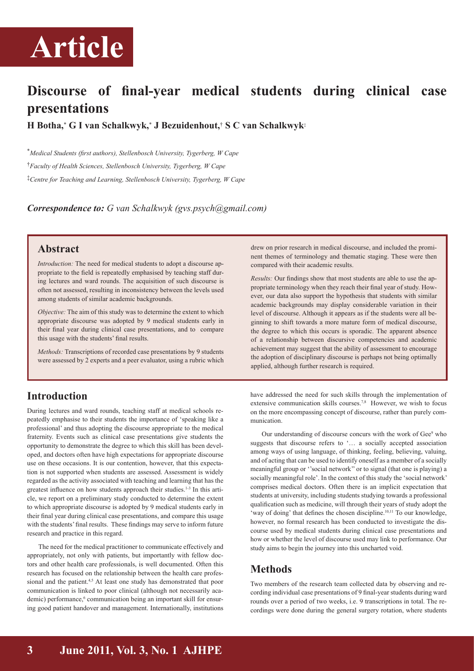

# **Discourse of final-year medical students during clinical case presentations**

**H Botha,**\* **G I van Schalkwyk,**\* **J Bezuidenhout,**† **S C van Schalkwyk**‡

\**Medical Students (first authors), Stellenbosch University, Tygerberg, W Cape* †*Faculty of Health Sciences, Stellenbosch University, Tygerberg, W Cape*  ‡*Centre for Teaching and Learning, Stellenbosch University, Tygerberg, W Cape* 

*Correspondence to: G van Schalkwyk (gvs.psych@gmail.com)*

### **Abstract**

*Introduction:* The need for medical students to adopt a discourse appropriate to the field is repeatedly emphasised by teaching staff during lectures and ward rounds. The acquisition of such discourse is often not assessed, resulting in inconsistency between the levels used among students of similar academic backgrounds.

*Objective:* The aim of this study was to determine the extent to which appropriate discourse was adopted by 9 medical students early in their final year during clinical case presentations, and to compare this usage with the students' final results.

*Methods:* Transcriptions of recorded case presentations by 9 students were assessed by 2 experts and a peer evaluator, using a rubric which

# **Introduction**

During lectures and ward rounds, teaching staff at medical schools repeatedly emphasise to their students the importance of 'speaking like a professional' and thus adopting the discourse appropriate to the medical fraternity. Events such as clinical case presentations give students the opportunity to demonstrate the degree to which this skill has been developed, and doctors often have high expectations for appropriate discourse use on these occasions. It is our contention, however, that this expectation is not supported when students are assessed. Assessment is widely regarded as the activity associated with teaching and learning that has the greatest influence on how students approach their studies.1-3 In this article, we report on a preliminary study conducted to determine the extent to which appropriate discourse is adopted by 9 medical students early in their final year during clinical case presentations, and compare this usage with the students' final results. These findings may serve to inform future research and practice in this regard.

The need for the medical practitioner to communicate effectively and appropriately, not only with patients, but importantly with fellow doctors and other health care professionals, is well documented. Often this research has focused on the relationship between the health care professional and the patient.<sup>4,5</sup> At least one study has demonstrated that poor communication is linked to poor clinical (although not necessarily academic) performance,<sup>6</sup> communication being an important skill for ensuring good patient handover and management. Internationally, institutions

drew on prior research in medical discourse, and included the prominent themes of terminology and thematic staging. These were then compared with their academic results.

*Results:* Our findings show that most students are able to use the appropriate terminology when they reach their final year of study. However, our data also support the hypothesis that students with similar academic backgrounds may display considerable variation in their level of discourse. Although it appears as if the students were all beginning to shift towards a more mature form of medical discourse, the degree to which this occurs is sporadic. The apparent absence of a relationship between discursive competencies and academic achievement may suggest that the ability of assessment to encourage the adoption of disciplinary discourse is perhaps not being optimally applied, although further research is required.

have addressed the need for such skills through the implementation of extensive communication skills courses.<sup>7,8</sup> However, we wish to focus on the more encompassing concept of discourse, rather than purely communication.

Our understanding of discourse concurs with the work of Gee<sup>9</sup> who suggests that discourse refers to '… a socially accepted association among ways of using language, of thinking, feeling, believing, valuing, and of acting that can be used to identify oneself as a member of a socially meaningful group or ''social network'' or to signal (that one is playing) a socially meaningful role'. In the context of this study the 'social network' comprises medical doctors. Often there is an implicit expectation that students at university, including students studying towards a professional qualification such as medicine, will through their years of study adopt the 'way of doing' that defines the chosen discipline.<sup>10,11</sup> To our knowledge, however, no formal research has been conducted to investigate the discourse used by medical students during clinical case presentations and how or whether the level of discourse used may link to performance. Our study aims to begin the journey into this uncharted void.

# **Methods**

Two members of the research team collected data by observing and recording individual case presentations of 9 final-year students during ward rounds over a period of two weeks, i.e. 9 transcriptions in total. The recordings were done during the general surgery rotation, where students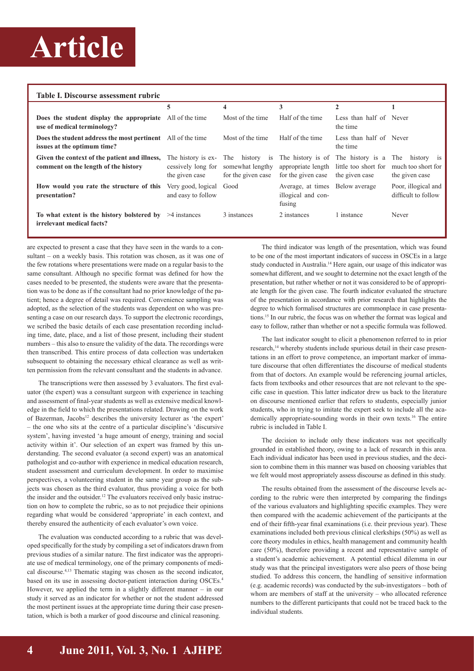# **Article**

| Table I. Discourse assessment rubric                                                              |                                                            |                                                          |                                                   |                                                                              |                                                           |
|---------------------------------------------------------------------------------------------------|------------------------------------------------------------|----------------------------------------------------------|---------------------------------------------------|------------------------------------------------------------------------------|-----------------------------------------------------------|
|                                                                                                   | 5                                                          | 4                                                        | 3                                                 | $\mathbf{2}$                                                                 |                                                           |
| <b>Does the student display the appropriate</b> All of the time<br>use of medical terminology?    |                                                            | Most of the time.                                        | Half of the time                                  | Less than half of Never<br>the time                                          |                                                           |
| <b>Does the student address the most pertinent</b> All of the time<br>issues at the optimum time? |                                                            | Most of the time.                                        | Half of the time                                  | Less than half of Never<br>the time                                          |                                                           |
| Given the context of the patient and illness,<br>comment on the length of the history             | The history is ex-<br>cessively long for<br>the given case | The history is<br>somewhat lengthy<br>for the given case | appropriate length<br>for the given case          | The history is of The history is a<br>little too short for<br>the given case | history is<br>The<br>much too short for<br>the given case |
| How would you rate the structure of this<br>presentation?                                         | Very good, logical<br>and easy to follow                   | Good                                                     | Average, at times<br>illogical and con-<br>fusing | Below average                                                                | Poor, illogical and<br>difficult to follow                |
| To what extent is the history bolstered by $\geq 4$ instances<br>irrelevant medical facts?        |                                                            | 3 instances                                              | 2 instances                                       | l instance                                                                   | Never                                                     |

are expected to present a case that they have seen in the wards to a consultant – on a weekly basis. This rotation was chosen, as it was one of the few rotations where presentations were made on a regular basis to the same consultant. Although no specific format was defined for how the cases needed to be presented, the students were aware that the presentation was to be done as if the consultant had no prior knowledge of the patient; hence a degree of detail was required. Convenience sampling was adopted, as the selection of the students was dependent on who was presenting a case on our research days. To support the electronic recordings, we scribed the basic details of each case presentation recording including time, date, place, and a list of those present, including their student numbers – this also to ensure the validity of the data. The recordings were then transcribed. This entire process of data collection was undertaken subsequent to obtaining the necessary ethical clearance as well as written permission from the relevant consultant and the students in advance.

The transcriptions were then assessed by 3 evaluators. The first evaluator (the expert) was a consultant surgeon with experience in teaching and assessment of final-year students as well as extensive medical knowledge in the field to which the presentations related. Drawing on the work of Bazerman, Jacobs<sup>12</sup> describes the university lecturer as 'the expert' – the one who sits at the centre of a particular discipline's 'discursive system', having invested 'a huge amount of energy, training and social activity within it'. Our selection of an expert was framed by this understanding. The second evaluator (a second expert) was an anatomical pathologist and co-author with experience in medical education research, student assessment and curriculum development. In order to maximise perspectives, a volunteering student in the same year group as the subjects was chosen as the third evaluator, thus providing a voice for both the insider and the outsider.<sup>12</sup> The evaluators received only basic instruction on how to complete the rubric, so as to not prejudice their opinions regarding what would be considered 'appropriate' in each context, and thereby ensured the authenticity of each evaluator's own voice.

The evaluation was conducted according to a rubric that was developed specifically for the study by compiling a set of indicators drawn from previous studies of a similar nature. The first indicator was the appropriate use of medical terminology, one of the primary components of medical discourse.4,13 Thematic staging was chosen as the second indicator, based on its use in assessing doctor-patient interaction during OSCEs.4 However, we applied the term in a slightly different manner – in our study it served as an indicator for whether or not the student addressed the most pertinent issues at the appropriate time during their case presentation, which is both a marker of good discourse and clinical reasoning.

The third indicator was length of the presentation, which was found to be one of the most important indicators of success in OSCEs in a large study conducted in Australia.<sup>14</sup> Here again, our usage of this indicator was somewhat different, and we sought to determine not the exact length of the presentation, but rather whether or not it was considered to be of appropriate length for the given case. The fourth indicator evaluated the structure of the presentation in accordance with prior research that highlights the degree to which formalised structures are commonplace in case presentations.15 In our rubric, the focus was on whether the format was logical and easy to follow, rather than whether or not a specific formula was followed.

The last indicator sought to elicit a phenomenon referred to in prior research,<sup>14</sup> whereby students include spurious detail in their case presentations in an effort to prove competence, an important marker of immature discourse that often differentiates the discourse of medical students from that of doctors. An example would be referencing journal articles, facts from textbooks and other resources that are not relevant to the specific case in question. This latter indicator drew us back to the literature on discourse mentioned earlier that refers to students, especially junior students, who in trying to imitate the expert seek to include all the academically appropriate-sounding words in their own texts.16 The entire rubric is included in Table I.

The decision to include only these indicators was not specifically grounded in established theory, owing to a lack of research in this area. Each individual indicator has been used in previous studies, and the decision to combine them in this manner was based on choosing variables that we felt would most appropriately assess discourse as defined in this study.

The results obtained from the assessment of the discourse levels according to the rubric were then interpreted by comparing the findings of the various evaluators and highlighting specific examples. They were then compared with the academic achievement of the participants at the end of their fifth-year final examinations (i.e. their previous year). These examinations included both previous clinical clerkships (50%) as well as core theory modules in ethics, health management and community health care (50%), therefore providing a recent and representative sample of a student's academic achievement. A potential ethical dilemma in our study was that the principal investigators were also peers of those being studied. To address this concern, the handling of sensitive information (e.g. academic records) was conducted by the sub-investigators – both of whom are members of staff at the university – who allocated reference numbers to the different participants that could not be traced back to the individual students.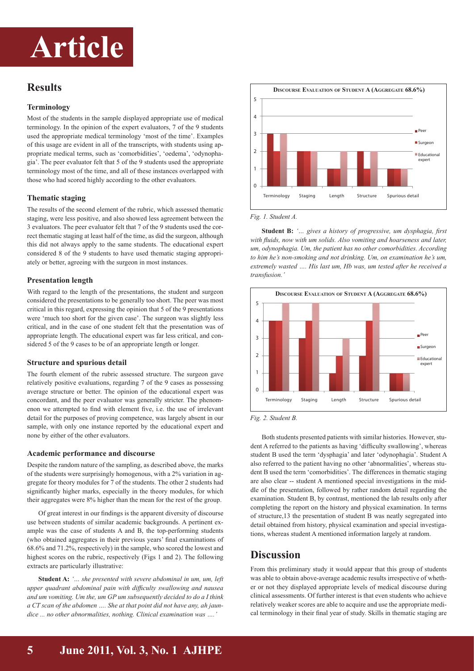# **Article**

# **Results**

#### **Terminology**

Most of the students in the sample displayed appropriate use of medical terminology. In the opinion of the expert evaluators, 7 of the 9 students used the appropriate medical terminology 'most of the time'. Examples of this usage are evident in all of the transcripts, with students using appropriate medical terms, such as 'comorbidities', 'oedema', 'odynophagia'. The peer evaluator felt that 5 of the 9 students used the appropriate terminology most of the time, and all of these instances overlapped with those who had scored highly according to the other evaluators.

#### **Thematic staging**

The results of the second element of the rubric, which assessed thematic staging, were less positive, and also showed less agreement between the 3 evaluators. The peer evaluator felt that 7 of the 9 students used the correct thematic staging at least half of the time, as did the surgeon, although this did not always apply to the same students. The educational expert considered 8 of the 9 students to have used thematic staging appropriately or better, agreeing with the surgeon in most instances.

#### **Presentation length**

With regard to the length of the presentations, the student and surgeon considered the presentations to be generally too short. The peer was most critical in this regard, expressing the opinion that 5 of the 9 presentations were 'much too short for the given case'. The surgeon was slightly less critical, and in the case of one student felt that the presentation was of appropriate length. The educational expert was far less critical, and considered 5 of the 9 cases to be of an appropriate length or longer.

#### **Structure and spurious detail**

The fourth element of the rubric assessed structure. The surgeon gave relatively positive evaluations, regarding 7 of the 9 cases as possessing average structure or better. The opinion of the educational expert was concordant, and the peer evaluator was generally stricter. The phenomenon we attempted to find with element five, i.e. the use of irrelevant detail for the purposes of proving competence, was largely absent in our sample, with only one instance reported by the educational expert and none by either of the other evaluators.

#### **Academic performance and discourse**

Despite the random nature of the sampling, as described above, the marks of the students were surprisingly homogenous, with a 2% variation in aggregate for theory modules for 7 of the students. The other 2 students had significantly higher marks, especially in the theory modules, for which their aggregates were 8% higher than the mean for the rest of the group.

Of great interest in our findings is the apparent diversity of discourse use between students of similar academic backgrounds. A pertinent example was the case of students A and B, the top-performing students (who obtained aggregates in their previous years' final examinations of 68.6% and 71.2%, respectively) in the sample, who scored the lowest and highest scores on the rubric, respectively (Figs 1 and 2). The following extracts are particularly illustrative:

**Student A:** *'… she presented with severe abdominal in um, um, left upper quadrant abdominal pain with difficulty swallowing and nausea and um vomiting. Um the, um GP um subsequently decided to do a I think a CT scan of the abdomen …. She at that point did not have any, ah jaundice ... no other abnormalities, nothing. Clinical examination was ….'*



*Fig. 1. Student A.*

**Student B:** *'… gives a history of progressive, um dysphagia, first*  with fluids, now with um solids. Also vomiting and hoarseness and later, *um, odynophagia. Um, the patient has no other comorbidities. According to him he's non-smoking and not drinking. Um, on examination he's um, extremely wasted …. His last um, Hb was, um tested after he received a transfusion.'*



*Fig. 2. Student B.*

Both students presented patients with similar histories. However, student A referred to the patients as having 'difficulty swallowing', whereas student B used the term 'dysphagia' and later 'odynophagia'. Student A also referred to the patient having no other 'abnormalities', whereas student B used the term 'comorbidities'. The differences in thematic staging are also clear -- student A mentioned special investigations in the middle of the presentation, followed by rather random detail regarding the examination. Student B, by contrast, mentioned the lab results only after completing the report on the history and physical examination. In terms of structure,13 the presentation of student B was neatly segregated into detail obtained from history, physical examination and special investigations, whereas student A mentioned information largely at random.

### **Discussion**

From this preliminary study it would appear that this group of students was able to obtain above-average academic results irrespective of whether or not they displayed appropriate levels of medical discourse during clinical assessments. Of further interest is that even students who achieve relatively weaker scores are able to acquire and use the appropriate medical terminology in their final year of study. Skills in thematic staging are